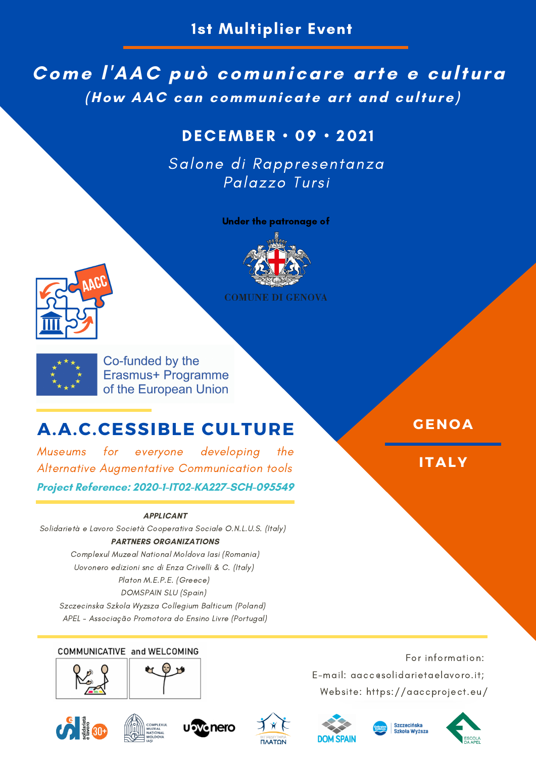## **Come l'AAC può comunicare arte e cultura (How AAC can communicate art and culture)**

## DECEMBER • 09 • 202 1

Salone di Rappresentanza Palazzo Tursi

Under the patronage of



**COMUNE DI GENOVA** 





Co-funded by the Erasmus+ Programme of the European Union

# **A.A.C.CESSIBLE CULTURE**

Museums for everyone developing the Alternative Augmentative Communication tools

**Project Reference: 2020-1-IT02-KA227-SCH-095549**

### **APPLICANT**

Solidarietà e Lavoro Società Cooperativa Sociale O.N.L.U.S. (Italy) **PARTNERS ORGANIZATIONS**

Complexul Muzeal National Moldova Iasi (Romania) Uovonero edizioni snc di Enza Crivelli & C. (Italy) Platon M.E.P.E. (Greece) DOMSPAIN SLU (Spain) Szczecinska Szkola Wyzsza Collegium Balticum (Poland)

APEL - Associação Promotora do Ensino Livre (Portugal)

## COMMUNICATIVE and WELCOMING



















**GENOA**

**ITALY**

For information: E-mail: aacc@solidarietaelavoro.it; Website: https://aaccproject.eu/

izczecińska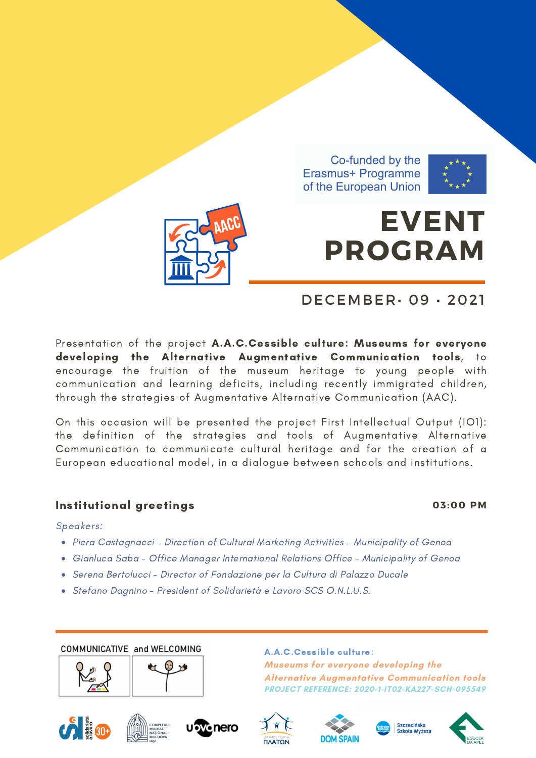Co-funded by the Erasmus+ Programme of the European Union



# **EVENT PROGRAM**

## DECEMBER• 09 • 2021

Presentation of the project A.A.C.Cessible culture: Museums for everyone developing the Alternative Augmentative Communication tools, to encourage the fruition of the museum heritage to young people with communication and learning deficits, including recently immigrated children, through the strategies of Augmentative Alternative Communication (AAC).

On this occasion will be presented the project First Intellectual Output (IO1): the definition of the strategies and tools of Augmentative Alternative Communication to communicate cultural heritage and for the creation of a European educational model, in a dialogue between schools and institutions.

## Institutional greetings **03:00 PM**

Speakers:

- Piera Castagnacci Direction of Cultural Marketing Activities Municipality of Genoa
- Gianluca Saba Office Manager International Relations Office Municipality of Genoa
- Serena Bertolucci Director of Fondazione per la Cultura di Palazzo Ducale
- Stefano Dagnino President of Solidarietà e Lavoro SCS O.N.L.U.S.

COMMUNICATIVE and WELCOMING





A.A.C.Cessible culture: **Museums for everyone developing the Alternative Augmentative Communication tools PROJECT REFERENCE: 2020-1-IT02-KA227-SCH-095549**